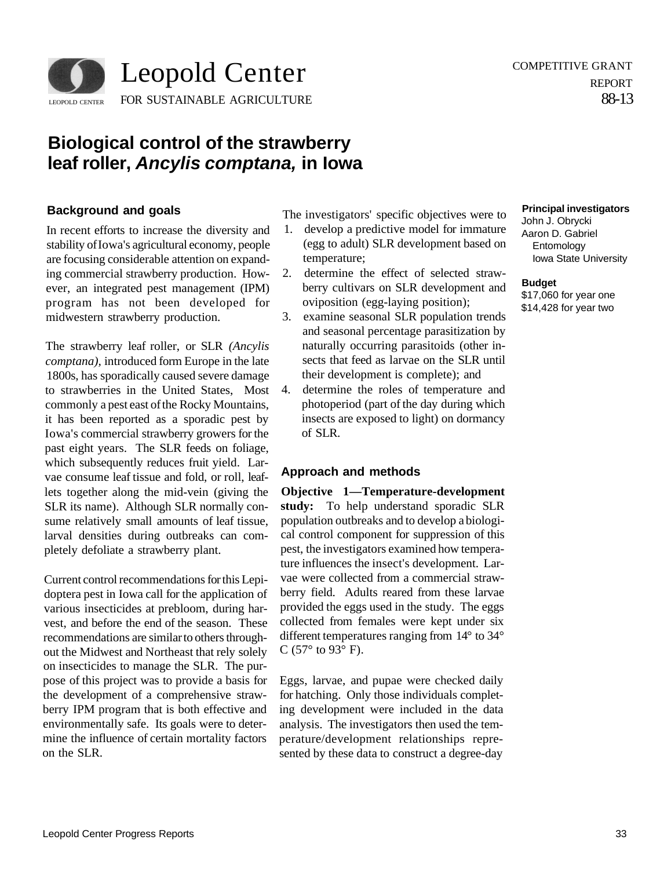

# **Biological control of the strawberry leaf roller, Ancylis comptana, in Iowa**

# **Background and goals**

In recent efforts to increase the diversity and stability of Iowa's agricultural economy, people are focusing considerable attention on expanding commercial strawberry production. However, an integrated pest management (IPM) program has not been developed for midwestern strawberry production.

The strawberry leaf roller, or SLR *(Ancylis comptana),* introduced form Europe in the late 1800s, has sporadically caused severe damage to strawberries in the United States, Most commonly a pest east of the Rocky Mountains, it has been reported as a sporadic pest by Iowa's commercial strawberry growers for the past eight years. The SLR feeds on foliage, which subsequently reduces fruit yield. Larvae consume leaf tissue and fold, or roll, leaflets together along the mid-vein (giving the SLR its name). Although SLR normally consume relatively small amounts of leaf tissue, larval densities during outbreaks can completely defoliate a strawberry plant.

Current control recommendations for this Lepidoptera pest in Iowa call for the application of various insecticides at prebloom, during harvest, and before the end of the season. These recommendations are similar to others throughout the Midwest and Northeast that rely solely on insecticides to manage the SLR. The purpose of this project was to provide a basis for the development of a comprehensive strawberry IPM program that is both effective and environmentally safe. Its goals were to determine the influence of certain mortality factors on the SLR.

The investigators' specific objectives were to

- 1. develop a predictive model for immature (egg to adult) SLR development based on temperature;
- 2. determine the effect of selected strawberry cultivars on SLR development and oviposition (egg-laying position);
- 3. examine seasonal SLR population trends and seasonal percentage parasitization by naturally occurring parasitoids (other insects that feed as larvae on the SLR until their development is complete); and
- 4. determine the roles of temperature and photoperiod (part of the day during which insects are exposed to light) on dormancy of SLR.

# **Approach and methods**

**Objective 1—Temperature-development study:** To help understand sporadic SLR population outbreaks and to develop a biological control component for suppression of this pest, the investigators examined how temperature influences the insect's development. Larvae were collected from a commercial strawberry field. Adults reared from these larvae provided the eggs used in the study. The eggs collected from females were kept under six different temperatures ranging from 14° to 34° C (57 $\textdegree$  to 93 $\textdegree$  F).

Eggs, larvae, and pupae were checked daily for hatching. Only those individuals completing development were included in the data analysis. The investigators then used the temperature/development relationships represented by these data to construct a degree-day

COMPETITIVE GRANT

88-13

REPORT

### **Principal investigators**

John J. Obrycki Aaron D. Gabriel Entomology Iowa State University

#### **Budget**

\$17,060 for year one \$14,428 for year two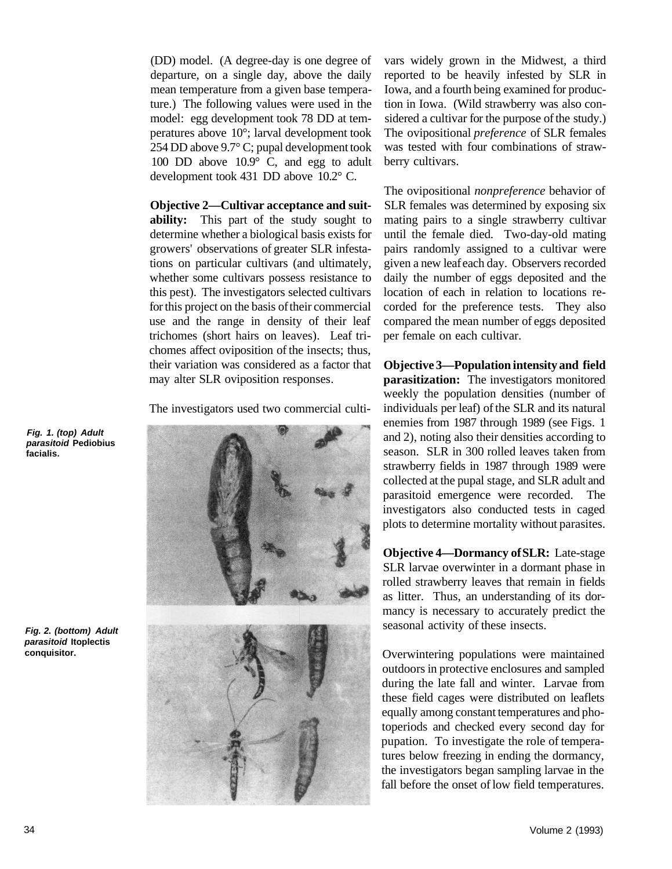(DD) model. (A degree-day is one degree of departure, on a single day, above the daily mean temperature from a given base temperature.) The following values were used in the model: egg development took 78 DD at temperatures above 10°; larval development took 254 DD above 9.7° C; pupal development took 100 DD above 10.9° C, and egg to adult development took 431 DD above 10.2° C.

**Objective 2—Cultivar acceptance and suitability:** This part of the study sought to determine whether a biological basis exists for growers' observations of greater SLR infestations on particular cultivars (and ultimately, whether some cultivars possess resistance to this pest). The investigators selected cultivars for this project on the basis of their commercial use and the range in density of their leaf trichomes (short hairs on leaves). Leaf trichomes affect oviposition of the insects; thus, their variation was considered as a factor that may alter SLR oviposition responses.

The investigators used two commercial culti-



vars widely grown in the Midwest, a third reported to be heavily infested by SLR in Iowa, and a fourth being examined for production in Iowa. (Wild strawberry was also considered a cultivar for the purpose of the study.) The ovipositional *preference* of SLR females was tested with four combinations of strawberry cultivars.

The ovipositional *nonpreference* behavior of SLR females was determined by exposing six mating pairs to a single strawberry cultivar until the female died. Two-day-old mating pairs randomly assigned to a cultivar were given a new leaf each day. Observers recorded daily the number of eggs deposited and the location of each in relation to locations recorded for the preference tests. They also compared the mean number of eggs deposited per female on each cultivar.

**Objective 3—Population intensity and field parasitization:** The investigators monitored weekly the population densities (number of individuals per leaf) of the SLR and its natural enemies from 1987 through 1989 (see Figs. 1 and 2), noting also their densities according to season. SLR in 300 rolled leaves taken from strawberry fields in 1987 through 1989 were collected at the pupal stage, and SLR adult and parasitoid emergence were recorded. The investigators also conducted tests in caged plots to determine mortality without parasites.

**Objective 4—Dormancy of SLR:** Late-stage SLR larvae overwinter in a dormant phase in rolled strawberry leaves that remain in fields as litter. Thus, an understanding of its dormancy is necessary to accurately predict the seasonal activity of these insects.

Overwintering populations were maintained outdoors in protective enclosures and sampled during the late fall and winter. Larvae from these field cages were distributed on leaflets equally among constant temperatures and photoperiods and checked every second day for pupation. To investigate the role of temperatures below freezing in ending the dormancy, the investigators began sampling larvae in the fall before the onset of low field temperatures.

**Fig. 1. (top) Adult parasitoid Pediobius facialis.** 

**Fig. 2. (bottom) Adult parasitoid Itoplectis conquisitor.**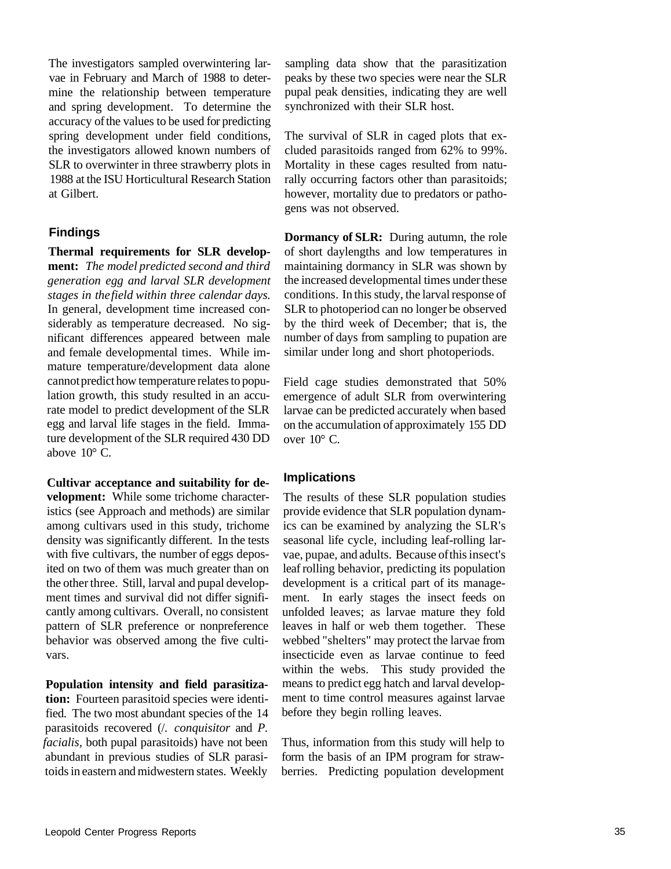The investigators sampled overwintering larvae in February and March of 1988 to determine the relationship between temperature and spring development. To determine the accuracy of the values to be used for predicting spring development under field conditions, the investigators allowed known numbers of SLR to overwinter in three strawberry plots in 1988 at the ISU Horticultural Research Station at Gilbert.

# **Findings**

**Thermal requirements for SLR development:** *The model predicted second and third generation egg and larval SLR development stages in the field within three calendar days.*  In general, development time increased considerably as temperature decreased. No significant differences appeared between male and female developmental times. While immature temperature/development data alone cannot predict how temperature relates to population growth, this study resulted in an accurate model to predict development of the SLR egg and larval life stages in the field. Immature development of the SLR required 430 DD above  $10^{\circ}$  C.

**Cultivar acceptance and suitability for development:** While some trichome characteristics (see Approach and methods) are similar among cultivars used in this study, trichome density was significantly different. In the tests with five cultivars, the number of eggs deposited on two of them was much greater than on the other three. Still, larval and pupal development times and survival did not differ significantly among cultivars. Overall, no consistent pattern of SLR preference or nonpreference behavior was observed among the five cultivars.

**Population intensity and field parasitization:** Fourteen parasitoid species were identified. The two most abundant species of the 14 parasitoids recovered (/. *conquisitor* and *P. facialis,* both pupal parasitoids) have not been abundant in previous studies of SLR parasitoids in eastern and midwestern states. Weekly sampling data show that the parasitization peaks by these two species were near the SLR pupal peak densities, indicating they are well synchronized with their SLR host.

The survival of SLR in caged plots that excluded parasitoids ranged from 62% to 99%. Mortality in these cages resulted from naturally occurring factors other than parasitoids; however, mortality due to predators or pathogens was not observed.

**Dormancy of SLR:** During autumn, the role of short daylengths and low temperatures in maintaining dormancy in SLR was shown by the increased developmental times under these conditions. In this study, the larval response of SLR to photoperiod can no longer be observed by the third week of December; that is, the number of days from sampling to pupation are similar under long and short photoperiods.

Field cage studies demonstrated that 50% emergence of adult SLR from overwintering larvae can be predicted accurately when based on the accumulation of approximately 155 DD over  $10^{\circ}$  C.

## **Implications**

The results of these SLR population studies provide evidence that SLR population dynamics can be examined by analyzing the SLR's seasonal life cycle, including leaf-rolling larvae, pupae, and adults. Because of this insect's leaf rolling behavior, predicting its population development is a critical part of its management. In early stages the insect feeds on unfolded leaves; as larvae mature they fold leaves in half or web them together. These webbed "shelters" may protect the larvae from insecticide even as larvae continue to feed within the webs. This study provided the means to predict egg hatch and larval development to time control measures against larvae before they begin rolling leaves.

Thus, information from this study will help to form the basis of an IPM program for strawberries. Predicting population development